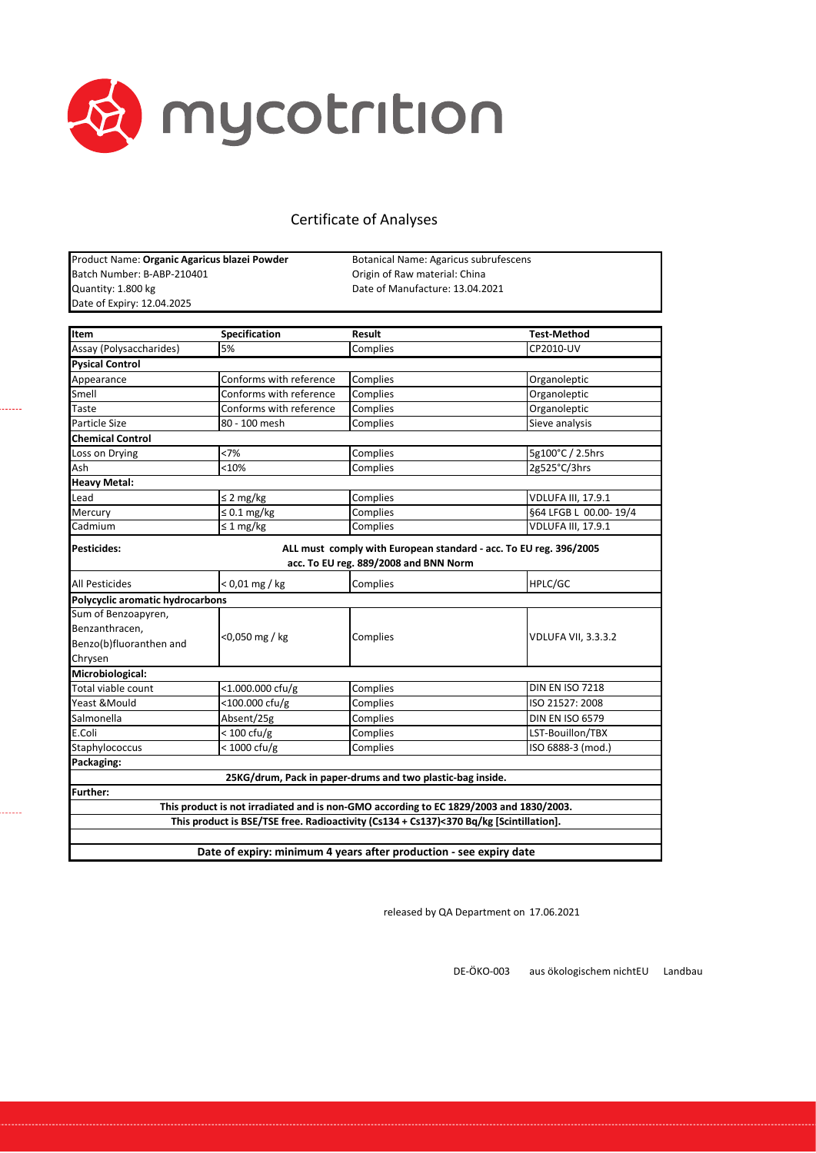

| Product Name: Organic Agaricus blazei Powder | Botanical Name: Agaricus subrufescens |
|----------------------------------------------|---------------------------------------|
| Batch Number: B-ABP-210401                   | Origin of Raw material: China         |
| Quantity: 1.800 kg                           | Date of Manufacture: 13.04.2021       |
| Date of Expiry: 12.04.2025                   |                                       |

......

| Item                             | Specification           | <b>Result</b>                                                                          | <b>Test-Method</b>         |
|----------------------------------|-------------------------|----------------------------------------------------------------------------------------|----------------------------|
| Assay (Polysaccharides)          | 5%                      | Complies                                                                               | CP2010-UV                  |
| <b>Pysical Control</b>           |                         |                                                                                        |                            |
| Appearance                       | Conforms with reference | Complies                                                                               | Organoleptic               |
| Smell                            | Conforms with reference | Complies                                                                               | Organoleptic               |
| Taste                            | Conforms with reference | Complies                                                                               | Organoleptic               |
| Particle Size                    | 80 - 100 mesh           | Complies                                                                               | Sieve analysis             |
| <b>Chemical Control</b>          |                         |                                                                                        |                            |
| Loss on Drying                   | <7%                     | Complies                                                                               | 5g100°C / 2.5hrs           |
| Ash                              | $<$ 10%                 | Complies                                                                               | 2g525°C/3hrs               |
| <b>Heavy Metal:</b>              |                         |                                                                                        |                            |
| Lead                             | $\leq$ 2 mg/kg          | Complies                                                                               | <b>VDLUFA III, 17.9.1</b>  |
| Mercury                          | $\leq 0.1$ mg/kg        | Complies                                                                               | §64 LFGB L 00.00-19/4      |
| Cadmium                          | $\leq$ 1 mg/kg          | Complies                                                                               | <b>VDLUFA III, 17.9.1</b>  |
| <b>Pesticides:</b>               |                         | ALL must comply with European standard - acc. To EU reg. 396/2005                      |                            |
|                                  |                         | acc. To EU reg. 889/2008 and BNN Norm                                                  |                            |
| <b>All Pesticides</b>            | $< 0.01$ mg / kg        | Complies                                                                               | HPLC/GC                    |
| Polycyclic aromatic hydrocarbons |                         |                                                                                        |                            |
| Sum of Benzoapyren,              |                         |                                                                                        |                            |
| Benzanthracen,                   | <0,050 mg / kg          | Complies                                                                               | <b>VDLUFA VII, 3.3.3.2</b> |
| Benzo(b)fluoranthen and          |                         |                                                                                        |                            |
| Chrysen                          |                         |                                                                                        |                            |
| Microbiological:                 |                         |                                                                                        |                            |
| Total viable count               | <1.000.000 cfu/g        | Complies                                                                               | <b>DIN EN ISO 7218</b>     |
| Yeast & Mould                    | <100.000 cfu/g          | Complies                                                                               | ISO 21527: 2008            |
| Salmonella                       | Absent/25g              | Complies                                                                               | <b>DIN EN ISO 6579</b>     |
| E.Coli                           | $< 100 \text{ cfu/g}$   | Complies                                                                               | LST-Bouillon/TBX           |
| Staphylococcus                   | $<$ 1000 cfu/g          | Complies                                                                               | ISO 6888-3 (mod.)          |
| Packaging:                       |                         |                                                                                        |                            |
|                                  |                         | 25KG/drum, Pack in paper-drums and two plastic-bag inside.                             |                            |
| Further:                         |                         |                                                                                        |                            |
|                                  |                         | This product is not irradiated and is non-GMO according to EC 1829/2003 and 1830/2003. |                            |
|                                  |                         | This product is BSE/TSE free. Radioactivity (Cs134 + Cs137)<370 Bq/kg [Scintillation]. |                            |
|                                  |                         |                                                                                        |                            |
|                                  |                         | Date of expiry: minimum 4 years after production - see expiry date                     |                            |

released by QA Department on 17.06.2021

DE-ÖKO-003 aus ökologischem nichtEU Landbau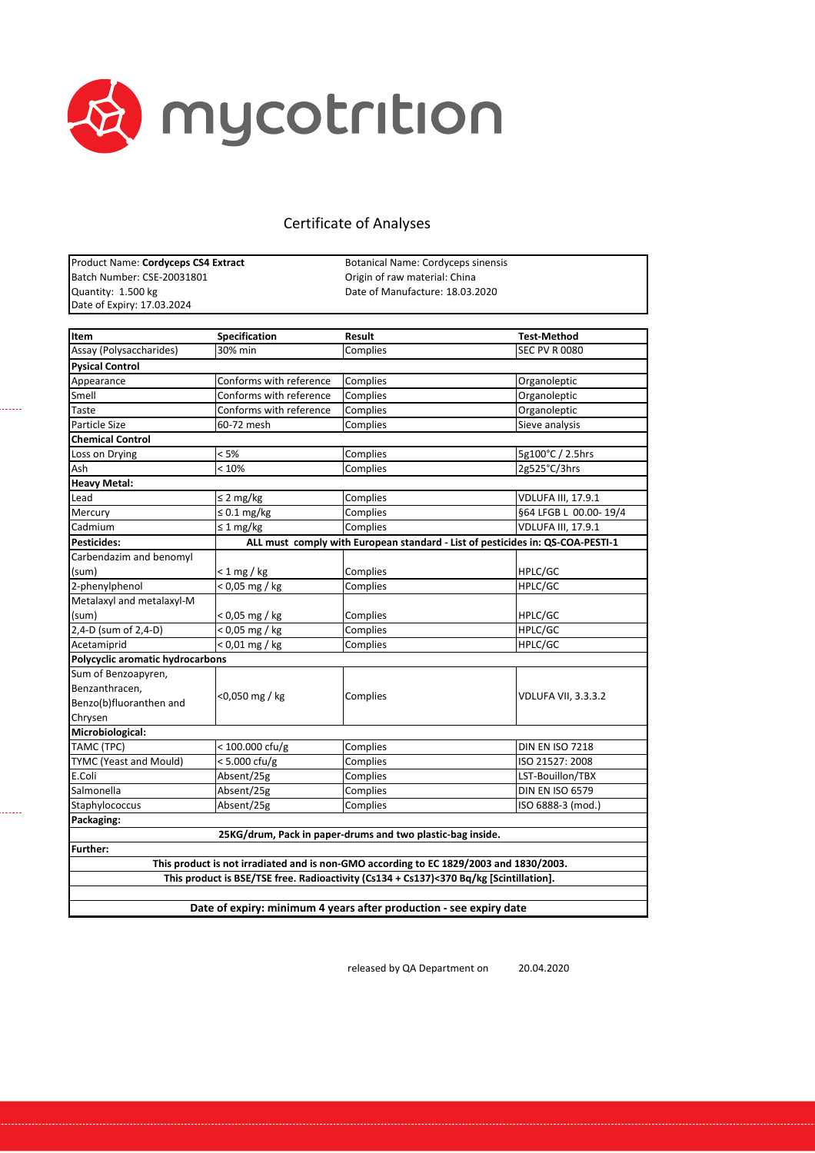

| Product Name: Cordyceps CS4 Extract |
|-------------------------------------|
| Batch Number: CSE-20031801          |
| Quantity: 1.500 kg                  |
| Date of Expiry: 17.03.2024          |

------

Botanical Name: Cordyceps sinensis Origin of raw material: China Date of Manufacture: 18.03.2020

| <b>Item</b>                      | Specification              | Result                                                                                 | <b>Test-Method</b>         |
|----------------------------------|----------------------------|----------------------------------------------------------------------------------------|----------------------------|
| Assay (Polysaccharides)          | 30% min                    | Complies                                                                               | <b>SEC PV R 0080</b>       |
| <b>Pysical Control</b>           |                            |                                                                                        |                            |
| Appearance                       | Conforms with reference    | Complies                                                                               | Organoleptic               |
| Smell                            | Conforms with reference    | Complies                                                                               | Organoleptic               |
| Taste                            | Conforms with reference    | Complies                                                                               | Organoleptic               |
| Particle Size                    | 60-72 mesh                 | Complies                                                                               | Sieve analysis             |
| <b>Chemical Control</b>          |                            |                                                                                        |                            |
| Loss on Drying                   | < 5%                       | Complies                                                                               | 5g100°C / 2.5hrs           |
| Ash                              | < 10%                      | Complies                                                                               | 2g525°C/3hrs               |
| <b>Heavy Metal:</b>              |                            |                                                                                        |                            |
| Lead                             | $\leq$ 2 mg/kg             | Complies                                                                               | <b>VDLUFA III, 17.9.1</b>  |
| Mercury                          | $\leq 0.1$ mg/kg           | Complies                                                                               | §64 LFGB L 00.00-19/4      |
| Cadmium                          | $\leq 1$ mg/kg             | Complies                                                                               | <b>VDLUFA III, 17.9.1</b>  |
| <b>Pesticides:</b>               |                            | ALL must comply with European standard - List of pesticides in: QS-COA-PESTI-1         |                            |
| Carbendazim and benomyl          |                            |                                                                                        |                            |
| (sum)                            | $< 1$ mg / kg              | Complies                                                                               | HPLC/GC                    |
| 2-phenylphenol                   | $\sqrt{6}$ ,05 mg / kg     | Complies                                                                               | HPLC/GC                    |
| Metalaxyl and metalaxyl-M        |                            |                                                                                        |                            |
| (sum)                            | < 0,05 mg / kg             | Complies                                                                               | HPLC/GC                    |
| 2,4-D (sum of 2,4-D)             | < 0,05 mg / kg             | Complies                                                                               | HPLC/GC                    |
| Acetamiprid                      | $< 0.01$ mg / kg           | Complies                                                                               | HPLC/GC                    |
| Polycyclic aromatic hydrocarbons |                            |                                                                                        |                            |
| Sum of Benzoapyren,              |                            |                                                                                        |                            |
| Benzanthracen,                   |                            |                                                                                        | <b>VDLUFA VII, 3.3.3.2</b> |
| Benzo(b)fluoranthen and          | <0,050 mg / kg             | Complies                                                                               |                            |
| Chrysen                          |                            |                                                                                        |                            |
| Microbiological:                 |                            |                                                                                        |                            |
| TAMC (TPC)                       | $< 100.000 \text{ cfty/g}$ | Complies                                                                               | <b>DIN EN ISO 7218</b>     |
| TYMC (Yeast and Mould)           | $< 5.000 \text{ cfu/g}$    | Complies                                                                               | ISO 21527: 2008            |
| E.Coli                           | Absent/25g                 | Complies                                                                               | LST-Bouillon/TBX           |
| Salmonella                       | Absent/25g                 | Complies                                                                               | <b>DIN EN ISO 6579</b>     |
| Staphylococcus                   | Absent/25g                 | Complies                                                                               | ISO 6888-3 (mod.)          |
| Packaging:                       |                            |                                                                                        |                            |
|                                  |                            | 25KG/drum, Pack in paper-drums and two plastic-bag inside.                             |                            |
| <b>Further:</b>                  |                            |                                                                                        |                            |
|                                  |                            | This product is not irradiated and is non-GMO according to EC 1829/2003 and 1830/2003. |                            |
|                                  |                            | This product is BSE/TSE free. Radioactivity (Cs134 + Cs137)<370 Bq/kg [Scintillation]. |                            |
|                                  |                            |                                                                                        |                            |
|                                  |                            | Date of expiry: minimum 4 years after production - see expiry date                     |                            |

released by QA Department on 20.04.2020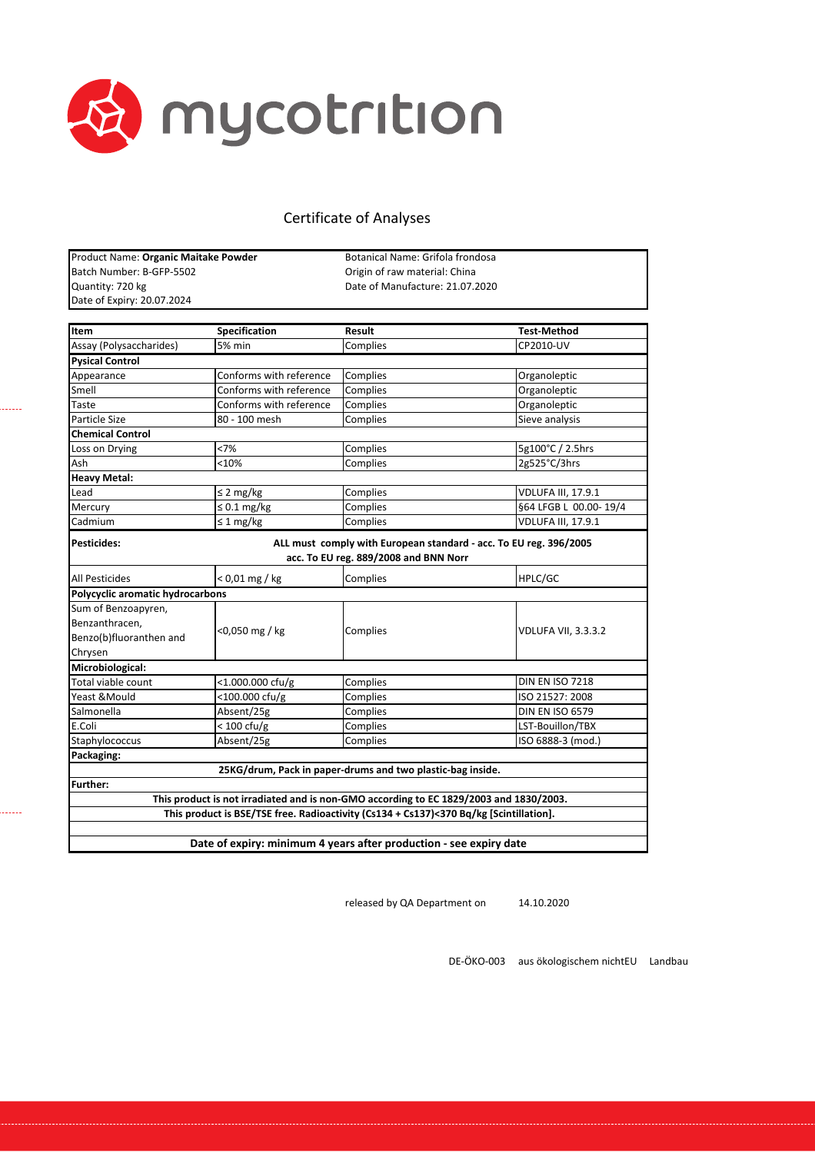

. . . . . . .

. . . . . . .

# Certificate of Analyses

| Product Name: Organic Maitake Powder |                                                                                        | Botanical Name: Grifola frondosa                                 |                                                                   |  |
|--------------------------------------|----------------------------------------------------------------------------------------|------------------------------------------------------------------|-------------------------------------------------------------------|--|
| Batch Number: B-GFP-5502             |                                                                                        | Origin of raw material: China<br>Date of Manufacture: 21.07.2020 |                                                                   |  |
| Quantity: 720 kg                     |                                                                                        |                                                                  |                                                                   |  |
| Date of Expiry: 20.07.2024           |                                                                                        |                                                                  |                                                                   |  |
|                                      |                                                                                        |                                                                  |                                                                   |  |
| Item                                 | <b>Specification</b>                                                                   | Result                                                           | <b>Test-Method</b>                                                |  |
| Assay (Polysaccharides)              | 5% min                                                                                 | Complies                                                         | CP2010-UV                                                         |  |
| <b>Pysical Control</b>               |                                                                                        |                                                                  |                                                                   |  |
| Appearance                           | Conforms with reference                                                                | Complies                                                         | Organoleptic                                                      |  |
| Smell                                | Conforms with reference                                                                | Complies                                                         | Organoleptic                                                      |  |
| Taste                                | Conforms with reference                                                                | Complies                                                         | Organoleptic                                                      |  |
| Particle Size                        | 80 - 100 mesh                                                                          | Complies                                                         | Sieve analysis                                                    |  |
| <b>Chemical Control</b>              |                                                                                        |                                                                  |                                                                   |  |
| Loss on Drying                       | <7%                                                                                    | Complies                                                         | 5g100°C / 2.5hrs                                                  |  |
| Ash                                  | $<$ 10%                                                                                | Complies                                                         | 2g525°C/3hrs                                                      |  |
| <b>Heavy Metal:</b>                  |                                                                                        |                                                                  |                                                                   |  |
| Lead                                 | $\leq$ 2 mg/kg                                                                         | Complies                                                         | <b>VDLUFA III, 17.9.1</b>                                         |  |
| Mercury                              | $\leq 0.1$ mg/kg                                                                       | Complies                                                         | §64 LFGB L 00.00-19/4                                             |  |
| Cadmium                              | $\sqrt{\leq 1}$ mg/kg                                                                  | Complies                                                         | <b>VDLUFA III, 17.9.1</b>                                         |  |
| Pesticides:                          |                                                                                        | acc. To EU reg. 889/2008 and BNN Norr                            | ALL must comply with European standard - acc. To EU reg. 396/2005 |  |
| <b>All Pesticides</b>                | $< 0.01$ mg / kg                                                                       | Complies                                                         | HPLC/GC                                                           |  |
| Polycyclic aromatic hydrocarbons     |                                                                                        |                                                                  |                                                                   |  |
| Sum of Benzoapyren,                  |                                                                                        |                                                                  |                                                                   |  |
| Benzanthracen,                       |                                                                                        |                                                                  |                                                                   |  |
| Benzo(b)fluoranthen and              | <0,050 mg / kg                                                                         | Complies                                                         | VDLUFA VII, 3.3.3.2                                               |  |
| Chrysen                              |                                                                                        |                                                                  |                                                                   |  |
| Microbiological:                     |                                                                                        |                                                                  |                                                                   |  |
| Total viable count                   | $<$ 1.000.000 cfu/g                                                                    | Complies                                                         | <b>DIN EN ISO 7218</b>                                            |  |
| Yeast &Mould                         | <100.000 cfu/g                                                                         | Complies                                                         | ISO 21527: 2008                                                   |  |
| Salmonella                           | Absent/25g                                                                             | Complies                                                         | <b>DIN EN ISO 6579</b>                                            |  |
| E.Coli                               | $< 100 \text{ cfu/g}$                                                                  | Complies                                                         | LST-Bouillon/TBX                                                  |  |
| Staphylococcus                       | Absent/25g                                                                             | Complies                                                         | ISO 6888-3 (mod.)                                                 |  |
| Packaging:                           |                                                                                        |                                                                  |                                                                   |  |
|                                      | 25KG/drum, Pack in paper-drums and two plastic-bag inside.                             |                                                                  |                                                                   |  |
| Further:                             |                                                                                        |                                                                  |                                                                   |  |
|                                      | This product is not irradiated and is non-GMO according to EC 1829/2003 and 1830/2003. |                                                                  |                                                                   |  |
|                                      | This product is BSE/TSE free. Radioactivity (Cs134 + Cs137)<370 Bq/kg [Scintillation]. |                                                                  |                                                                   |  |
|                                      |                                                                                        |                                                                  |                                                                   |  |
|                                      | Date of expiry: minimum 4 years after production - see expiry date                     |                                                                  |                                                                   |  |
|                                      |                                                                                        |                                                                  |                                                                   |  |

released by QA Department on 14.10.2020

DE‐ÖKO‐003 aus ökologischem nichtEU Landbau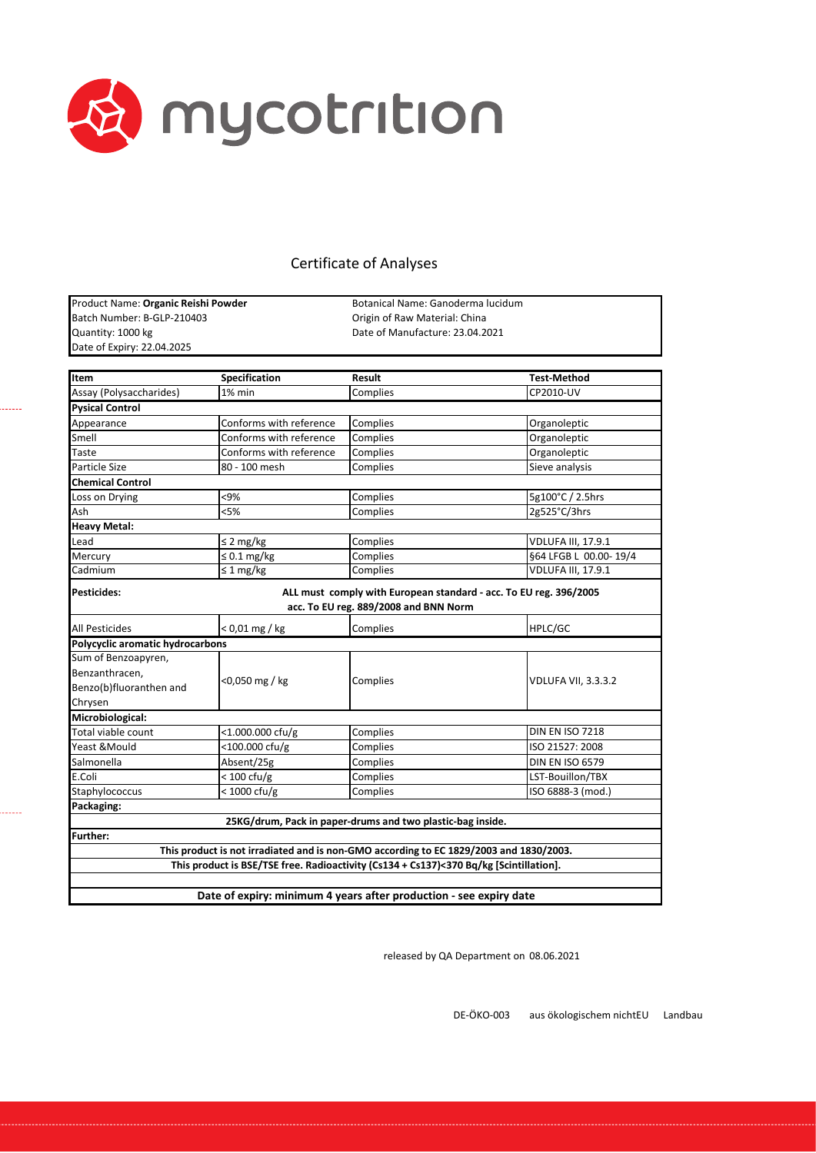

Quantity: 1000 kg **Date of Manufacture: 23.04.2021** Date of Expiry: 22.04.2025 Product Name: **Organic Reishi Powder** Batch Number: B-GLP-210403

. . . . . .

......

Botanical Name: Ganoderma lucidum Origin of Raw Material: China

| <b>Item</b>                      | Specification                                                                          | Result                                | <b>Test-Method</b>                                                |
|----------------------------------|----------------------------------------------------------------------------------------|---------------------------------------|-------------------------------------------------------------------|
| Assay (Polysaccharides)          | 1% min                                                                                 | Complies                              | CP2010-UV                                                         |
| <b>Pysical Control</b>           |                                                                                        |                                       |                                                                   |
| Appearance                       | Conforms with reference                                                                | Complies                              | Organoleptic                                                      |
| Smell                            | Conforms with reference                                                                | Complies                              | Organoleptic                                                      |
| Taste                            | Conforms with reference                                                                | Complies                              | Organoleptic                                                      |
| Particle Size                    | 80 - 100 mesh                                                                          | Complies                              | Sieve analysis                                                    |
| <b>Chemical Control</b>          |                                                                                        |                                       |                                                                   |
| Loss on Drying                   | <9%                                                                                    | Complies                              | 5g100°C / 2.5hrs                                                  |
| Ash                              | < 5%                                                                                   | Complies                              | 2g525°C/3hrs                                                      |
| <b>Heavy Metal:</b>              |                                                                                        |                                       |                                                                   |
| Lead                             | $\leq$ 2 mg/kg                                                                         | Complies                              | <b>VDLUFA III, 17.9.1</b>                                         |
| Mercury                          | $\leq 0.1$ mg/kg                                                                       | Complies                              | §64 LFGB L 00.00-19/4                                             |
| Cadmium                          | $\leq 1$ mg/kg                                                                         | Complies                              | <b>VDLUFA III, 17.9.1</b>                                         |
| Pesticides:                      |                                                                                        | acc. To EU reg. 889/2008 and BNN Norm | ALL must comply with European standard - acc. To EU reg. 396/2005 |
| All Pesticides                   | $< 0.01$ mg / kg                                                                       | Complies                              | HPLC/GC                                                           |
|                                  |                                                                                        |                                       |                                                                   |
| Polycyclic aromatic hydrocarbons |                                                                                        |                                       |                                                                   |
| Sum of Benzoapyren,              |                                                                                        |                                       |                                                                   |
| Benzanthracen,                   |                                                                                        |                                       |                                                                   |
| Benzo(b)fluoranthen and          | <0,050 mg / kg                                                                         | Complies                              | <b>VDLUFA VII, 3.3.3.2</b>                                        |
| Chrysen                          |                                                                                        |                                       |                                                                   |
| Microbiological:                 |                                                                                        |                                       |                                                                   |
| Total viable count               | <1.000.000 cfu/g                                                                       | Complies                              | <b>DIN EN ISO 7218</b>                                            |
| Yeast &Mould                     | <100.000 cfu/g                                                                         | Complies                              | ISO 21527: 2008                                                   |
| Salmonella                       | Absent/25g                                                                             | Complies                              | <b>DIN EN ISO 6579</b>                                            |
| E.Coli                           | $< 100 \text{ cfu/g}$                                                                  | Complies                              | LST-Bouillon/TBX                                                  |
| Staphylococcus                   | $<$ 1000 cfu/g                                                                         | Complies                              | ISO 6888-3 (mod.)                                                 |
| Packaging:                       |                                                                                        |                                       |                                                                   |
|                                  | 25KG/drum, Pack in paper-drums and two plastic-bag inside.                             |                                       |                                                                   |
| <b>Further:</b>                  |                                                                                        |                                       |                                                                   |
|                                  | This product is not irradiated and is non-GMO according to EC 1829/2003 and 1830/2003. |                                       |                                                                   |
|                                  | This product is BSE/TSE free. Radioactivity (Cs134 + Cs137)<370 Bq/kg [Scintillation]. |                                       |                                                                   |

released by QA Department on 08.06.2021